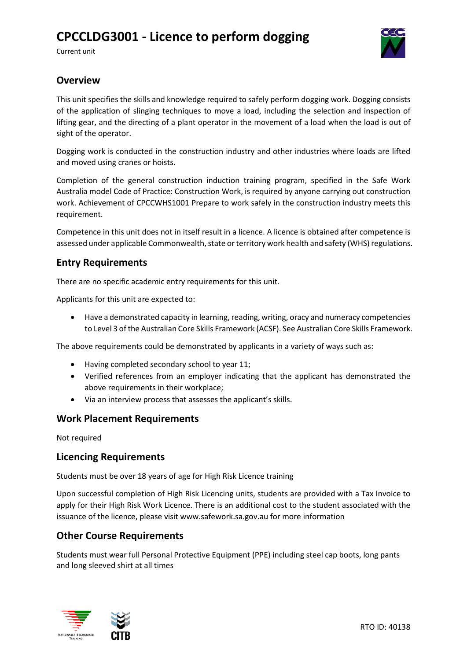# **CPCCLDG3001 - Licence to perform dogging**

Current unit



## **Overview**

This unit specifies the skills and knowledge required to safely perform dogging work. Dogging consists of the application of slinging techniques to move a load, including the selection and inspection of lifting gear, and the directing of a plant operator in the movement of a load when the load is out of sight of the operator.

Dogging work is conducted in the construction industry and other industries where loads are lifted and moved using cranes or hoists.

Completion of the general construction induction training program, specified in the Safe Work Australia model Code of Practice: Construction Work, is required by anyone carrying out construction work. Achievement of CPCCWHS1001 Prepare to work safely in the construction industry meets this requirement.

Competence in this unit does not in itself result in a licence. A licence is obtained after competence is assessed under applicable Commonwealth, state or territory work health and safety (WHS) regulations.

## **Entry Requirements**

There are no specific academic entry requirements for this unit.

Applicants for this unit are expected to:

• Have a demonstrated capacity in learning, reading, writing, oracy and numeracy competencies to Level 3 of the Australian Core Skills Framework (ACSF). See Australian Core Skills Framework.

The above requirements could be demonstrated by applicants in a variety of ways such as:

- Having completed secondary school to year 11;
- Verified references from an employer indicating that the applicant has demonstrated the above requirements in their workplace;
- Via an interview process that assesses the applicant's skills.

### **Work Placement Requirements**

Not required

### **Licencing Requirements**

Students must be over 18 years of age for High Risk Licence training

Upon successful completion of High Risk Licencing units, students are provided with a Tax Invoice to apply for their High Risk Work Licence. There is an additional cost to the student associated with the issuance of the licence, please visit www.safework.sa.gov.au for more information

### **Other Course Requirements**

Students must wear full Personal Protective Equipment (PPE) including steel cap boots, long pants and long sleeved shirt at all times